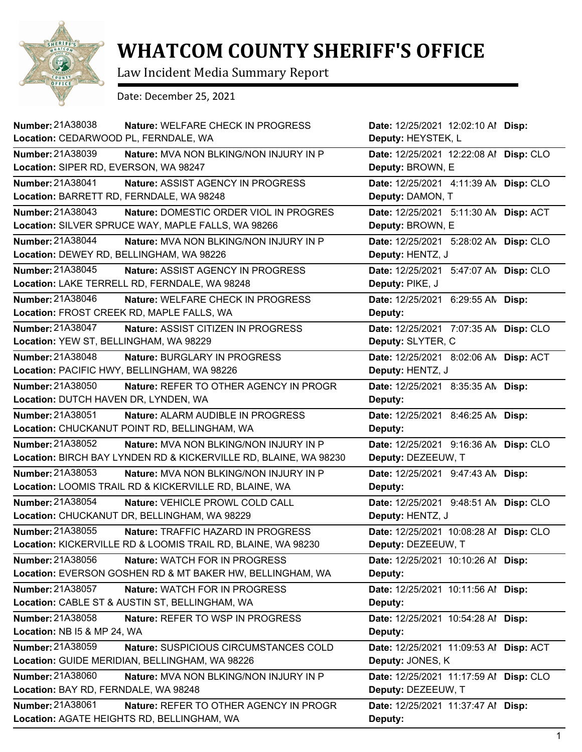

## **WHATCOM COUNTY SHERIFF'S OFFICE**

Law Incident Media Summary Report

Date: December 25, 2021

| <b>Number: 21A38038</b><br>Location: CEDARWOOD PL, FERNDALE, WA  | Nature: WELFARE CHECK IN PROGRESS             | Date: 12/25/2021 12:02:10 Al Disp:<br>Deputy: HEYSTEK, L |  |
|------------------------------------------------------------------|-----------------------------------------------|----------------------------------------------------------|--|
| <b>Number: 21A38039</b>                                          | Nature: MVA NON BLKING/NON INJURY IN P        | Date: 12/25/2021 12:22:08 Al Disp: CLO                   |  |
| Location: SIPER RD, EVERSON, WA 98247                            |                                               | Deputy: BROWN, E                                         |  |
| Number: 21A38041                                                 | Nature: ASSIST AGENCY IN PROGRESS             | Date: 12/25/2021 4:11:39 AN Disp: CLO                    |  |
| Location: BARRETT RD, FERNDALE, WA 98248                         |                                               | Deputy: DAMON, T                                         |  |
| Number: 21A38043                                                 | Nature: DOMESTIC ORDER VIOL IN PROGRES        | Date: 12/25/2021 5:11:30 AN Disp: ACT                    |  |
| Location: SILVER SPRUCE WAY, MAPLE FALLS, WA 98266               |                                               | Deputy: BROWN, E                                         |  |
| Number: 21A38044                                                 | Nature: MVA NON BLKING/NON INJURY IN P        | Date: 12/25/2021 5:28:02 AN Disp: CLO                    |  |
| Location: DEWEY RD, BELLINGHAM, WA 98226                         |                                               | Deputy: HENTZ, J                                         |  |
| Number: 21A38045                                                 | Nature: ASSIST AGENCY IN PROGRESS             | Date: 12/25/2021 5:47:07 AN Disp: CLO                    |  |
| Location: LAKE TERRELL RD, FERNDALE, WA 98248                    |                                               | Deputy: PIKE, J                                          |  |
| Number: 21A38046                                                 | <b>Nature: WELFARE CHECK IN PROGRESS</b>      | Date: 12/25/2021 6:29:55 AN Disp:                        |  |
| Location: FROST CREEK RD, MAPLE FALLS, WA                        |                                               | Deputy:                                                  |  |
| Number: 21A38047                                                 | Nature: ASSIST CITIZEN IN PROGRESS            | Date: 12/25/2021 7:07:35 AN Disp: CLO                    |  |
| Location: YEW ST, BELLINGHAM, WA 98229                           |                                               | Deputy: SLYTER, C                                        |  |
| Number: 21A38048                                                 | Nature: BURGLARY IN PROGRESS                  | Date: 12/25/2021 8:02:06 AN Disp: ACT                    |  |
| Location: PACIFIC HWY, BELLINGHAM, WA 98226                      |                                               | Deputy: HENTZ, J                                         |  |
| Number: 21A38050                                                 | Nature: REFER TO OTHER AGENCY IN PROGR        | Date: 12/25/2021 8:35:35 AM Disp:                        |  |
| Location: DUTCH HAVEN DR, LYNDEN, WA                             |                                               | Deputy:                                                  |  |
| Number: 21A38051                                                 | Nature: ALARM AUDIBLE IN PROGRESS             | Date: 12/25/2021 8:46:25 AN Disp:                        |  |
| Location: CHUCKANUT POINT RD, BELLINGHAM, WA                     |                                               | Deputy:                                                  |  |
| Number: 21A38052                                                 | <b>Nature: MVA NON BLKING/NON INJURY IN P</b> | Date: 12/25/2021 9:16:36 AN Disp: CLO                    |  |
| Location: BIRCH BAY LYNDEN RD & KICKERVILLE RD, BLAINE, WA 98230 |                                               | Deputy: DEZEEUW, T                                       |  |
| <b>Number: 21A38053</b>                                          | Nature: MVA NON BLKING/NON INJURY IN P        | Date: 12/25/2021 9:47:43 AN Disp:                        |  |
| Location: LOOMIS TRAIL RD & KICKERVILLE RD, BLAINE, WA           |                                               | Deputy:                                                  |  |
| Number: 21A38054                                                 | Nature: VEHICLE PROWL COLD CALL               | Date: 12/25/2021 9:48:51 AN Disp: CLO                    |  |
| Location: CHUCKANUT DR, BELLINGHAM, WA 98229                     |                                               | Deputy: HENTZ, J                                         |  |
| <b>Number: 21A38055</b>                                          | Nature: TRAFFIC HAZARD IN PROGRESS            | Date: 12/25/2021 10:08:28 Al Disp: CLO                   |  |
| Location: KICKERVILLE RD & LOOMIS TRAIL RD, BLAINE, WA 98230     |                                               | Deputy: DEZEEUW, T                                       |  |
| Number: 21A38056                                                 | Nature: WATCH FOR IN PROGRESS                 | Date: 12/25/2021 10:10:26 Al Disp:                       |  |
| Location: EVERSON GOSHEN RD & MT BAKER HW, BELLINGHAM, WA        |                                               | Deputy:                                                  |  |
| Number: 21A38057                                                 | Nature: WATCH FOR IN PROGRESS                 | Date: 12/25/2021 10:11:56 Al Disp:                       |  |
| Location: CABLE ST & AUSTIN ST, BELLINGHAM, WA                   |                                               | Deputy:                                                  |  |
| Number: 21A38058                                                 | Nature: REFER TO WSP IN PROGRESS              | Date: 12/25/2021 10:54:28 Al Disp:                       |  |
| Location: NB I5 & MP 24, WA                                      |                                               | Deputy:                                                  |  |
| Number: 21A38059                                                 | Nature: SUSPICIOUS CIRCUMSTANCES COLD         | Date: 12/25/2021 11:09:53 Al Disp: ACT                   |  |
| Location: GUIDE MERIDIAN, BELLINGHAM, WA 98226                   |                                               | Deputy: JONES, K                                         |  |
| Number: 21A38060                                                 | Nature: MVA NON BLKING/NON INJURY IN P        | Date: 12/25/2021 11:17:59 Al Disp: CLO                   |  |
| Location: BAY RD, FERNDALE, WA 98248                             |                                               | Deputy: DEZEEUW, T                                       |  |
| Number: 21A38061                                                 | Nature: REFER TO OTHER AGENCY IN PROGR        | Date: 12/25/2021 11:37:47 Al Disp:                       |  |
| Location: AGATE HEIGHTS RD, BELLINGHAM, WA                       |                                               | Deputy:                                                  |  |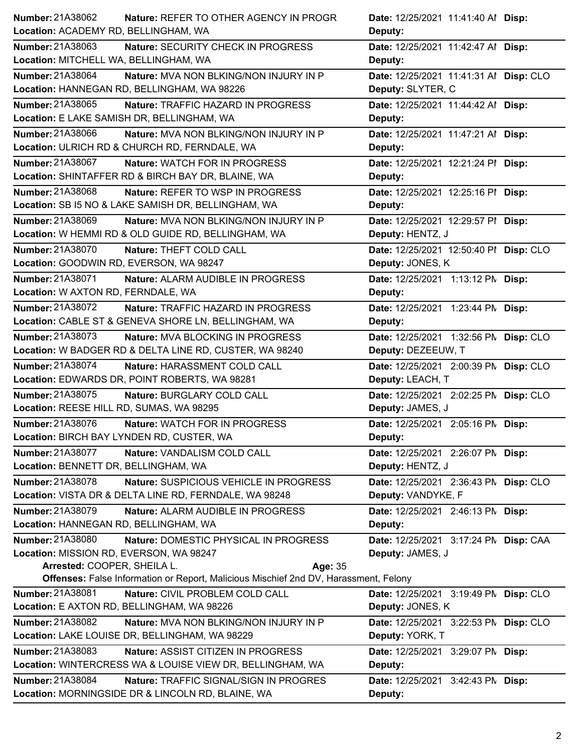| Number: 21A38062<br>Nature: REFER TO OTHER AGENCY IN PROGR                           | Date: 12/25/2021 11:41:40 Al Disp:     |
|--------------------------------------------------------------------------------------|----------------------------------------|
| Location: ACADEMY RD, BELLINGHAM, WA                                                 | Deputy:                                |
| Number: 21A38063<br>Nature: SECURITY CHECK IN PROGRESS                               | Date: 12/25/2021 11:42:47 Al Disp:     |
| Location: MITCHELL WA, BELLINGHAM, WA                                                | Deputy:                                |
| Number: 21A38064<br>Nature: MVA NON BLKING/NON INJURY IN P                           | Date: 12/25/2021 11:41:31 Al Disp: CLO |
| Location: HANNEGAN RD, BELLINGHAM, WA 98226                                          | Deputy: SLYTER, C                      |
| Number: 21A38065<br>Nature: TRAFFIC HAZARD IN PROGRESS                               | Date: 12/25/2021 11:44:42 Al Disp:     |
| Location: E LAKE SAMISH DR, BELLINGHAM, WA                                           | Deputy:                                |
| Number: 21A38066<br>Nature: MVA NON BLKING/NON INJURY IN P                           | Date: 12/25/2021 11:47:21 Al Disp:     |
| Location: ULRICH RD & CHURCH RD, FERNDALE, WA                                        | Deputy:                                |
| Number: 21A38067<br>Nature: WATCH FOR IN PROGRESS                                    | Date: 12/25/2021 12:21:24 PI Disp:     |
| Location: SHINTAFFER RD & BIRCH BAY DR, BLAINE, WA                                   | Deputy:                                |
| Number: 21A38068<br>Nature: REFER TO WSP IN PROGRESS                                 | Date: 12/25/2021 12:25:16 PI Disp:     |
| Location: SB I5 NO & LAKE SAMISH DR, BELLINGHAM, WA                                  | Deputy:                                |
| Number: 21A38069<br>Nature: MVA NON BLKING/NON INJURY IN P                           | Date: 12/25/2021 12:29:57 PI Disp:     |
| Location: W HEMMI RD & OLD GUIDE RD, BELLINGHAM, WA                                  | Deputy: HENTZ, J                       |
| Number: 21A38070<br>Nature: THEFT COLD CALL                                          | Date: 12/25/2021 12:50:40 PI Disp: CLO |
| Location: GOODWIN RD, EVERSON, WA 98247                                              | Deputy: JONES, K                       |
| Number: 21A38071<br>Nature: ALARM AUDIBLE IN PROGRESS                                | Date: 12/25/2021 1:13:12 PM Disp:      |
| Location: W AXTON RD, FERNDALE, WA                                                   | Deputy:                                |
| Number: 21A38072<br>Nature: TRAFFIC HAZARD IN PROGRESS                               | Date: 12/25/2021 1:23:44 PM Disp:      |
| Location: CABLE ST & GENEVA SHORE LN, BELLINGHAM, WA                                 | Deputy:                                |
| Number: 21A38073<br>Nature: MVA BLOCKING IN PROGRESS                                 | Date: 12/25/2021 1:32:56 PN Disp: CLO  |
| Location: W BADGER RD & DELTA LINE RD, CUSTER, WA 98240                              | Deputy: DEZEEUW, T                     |
| Number: 21A38074<br>Nature: HARASSMENT COLD CALL                                     | Date: 12/25/2021 2:00:39 PN Disp: CLO  |
| Location: EDWARDS DR, POINT ROBERTS, WA 98281                                        | Deputy: LEACH, T                       |
| Number: 21A38075<br>Nature: BURGLARY COLD CALL                                       | Date: 12/25/2021 2:02:25 PN Disp: CLO  |
| Location: REESE HILL RD, SUMAS, WA 98295                                             | Deputy: JAMES, J                       |
| Number: 21A38076<br>Nature: WATCH FOR IN PROGRESS                                    | Date: 12/25/2021 2:05:16 PM Disp:      |
| Location: BIRCH BAY LYNDEN RD, CUSTER, WA                                            | Deputy:                                |
| <b>Number: 21A38077</b><br>Nature: VANDALISM COLD CALL                               | Date: 12/25/2021 2:26:07 PM Disp:      |
| Location: BENNETT DR, BELLINGHAM, WA                                                 | Deputy: HENTZ, J                       |
| Number: 21A38078<br>Nature: SUSPICIOUS VEHICLE IN PROGRESS                           | Date: 12/25/2021 2:36:43 PM Disp: CLO  |
| Location: VISTA DR & DELTA LINE RD, FERNDALE, WA 98248                               | Deputy: VANDYKE, F                     |
| Number: 21A38079<br>Nature: ALARM AUDIBLE IN PROGRESS                                | Date: 12/25/2021 2:46:13 PM Disp:      |
| Location: HANNEGAN RD, BELLINGHAM, WA                                                | Deputy:                                |
| Number: 21A38080<br>Nature: DOMESTIC PHYSICAL IN PROGRESS                            | Date: 12/25/2021 3:17:24 PM Disp: CAA  |
| Location: MISSION RD, EVERSON, WA 98247                                              | Deputy: JAMES, J                       |
| Arrested: COOPER, SHEILA L.<br>Age: 35                                               |                                        |
| Offenses: False Information or Report, Malicious Mischief 2nd DV, Harassment, Felony |                                        |
| Number: 21A38081<br>Nature: CIVIL PROBLEM COLD CALL                                  | Date: 12/25/2021 3:19:49 PM Disp: CLO  |
| Location: E AXTON RD, BELLINGHAM, WA 98226                                           | Deputy: JONES, K                       |
| Number: 21A38082<br>Nature: MVA NON BLKING/NON INJURY IN P                           | Date: 12/25/2021 3:22:53 PM Disp: CLO  |
| Location: LAKE LOUISE DR, BELLINGHAM, WA 98229                                       | Deputy: YORK, T                        |
| Number: 21A38083<br>Nature: ASSIST CITIZEN IN PROGRESS                               | Date: 12/25/2021 3:29:07 PM Disp:      |
| Location: WINTERCRESS WA & LOUISE VIEW DR, BELLINGHAM, WA                            | Deputy:                                |
| Number: 21A38084<br>Nature: TRAFFIC SIGNAL/SIGN IN PROGRES                           | Date: 12/25/2021 3:42:43 PM Disp:      |
| Location: MORNINGSIDE DR & LINCOLN RD, BLAINE, WA                                    | Deputy:                                |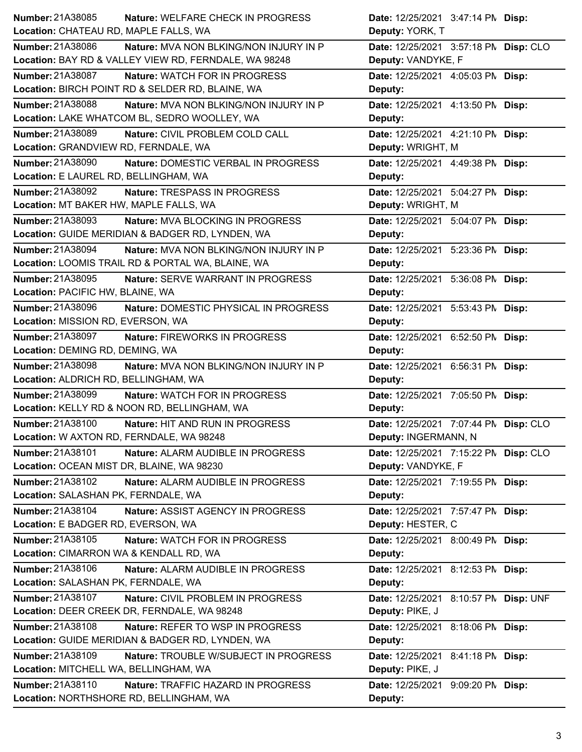| Number: 21A38085                          | <b>Nature: WELFARE CHECK IN PROGRESS</b>              | Date: 12/25/2021 3:47:14 PM Disp:     |
|-------------------------------------------|-------------------------------------------------------|---------------------------------------|
| Location: CHATEAU RD, MAPLE FALLS, WA     |                                                       | Deputy: YORK, T                       |
| Number: 21A38086                          | <b>Nature: MVA NON BLKING/NON INJURY IN P</b>         | Date: 12/25/2021 3:57:18 PN Disp: CLO |
|                                           | Location: BAY RD & VALLEY VIEW RD, FERNDALE, WA 98248 | Deputy: VANDYKE, F                    |
| Number: 21A38087                          | <b>Nature: WATCH FOR IN PROGRESS</b>                  | Date: 12/25/2021 4:05:03 PM Disp:     |
|                                           | Location: BIRCH POINT RD & SELDER RD, BLAINE, WA      | Deputy:                               |
| Number: 21A38088                          | <b>Nature: MVA NON BLKING/NON INJURY IN P</b>         | Date: 12/25/2021 4:13:50 PM Disp:     |
|                                           | Location: LAKE WHATCOM BL, SEDRO WOOLLEY, WA          | Deputy:                               |
| Number: 21A38089                          | Nature: CIVIL PROBLEM COLD CALL                       | Date: 12/25/2021 4:21:10 PM Disp:     |
| Location: GRANDVIEW RD, FERNDALE, WA      |                                                       | Deputy: WRIGHT, M                     |
| Number: 21A38090                          | Nature: DOMESTIC VERBAL IN PROGRESS                   | Date: 12/25/2021 4:49:38 PM Disp:     |
| Location: E LAUREL RD, BELLINGHAM, WA     |                                                       | Deputy:                               |
| Number: 21A38092                          | Nature: TRESPASS IN PROGRESS                          | Date: 12/25/2021 5:04:27 PM Disp:     |
| Location: MT BAKER HW, MAPLE FALLS, WA    |                                                       | Deputy: WRIGHT, M                     |
| Number: 21A38093                          | Nature: MVA BLOCKING IN PROGRESS                      | Date: 12/25/2021 5:04:07 PM Disp:     |
|                                           | Location: GUIDE MERIDIAN & BADGER RD, LYNDEN, WA      | Deputy:                               |
| <b>Number: 21A38094</b>                   | Nature: MVA NON BLKING/NON INJURY IN P                | Date: 12/25/2021 5:23:36 PM Disp:     |
|                                           | Location: LOOMIS TRAIL RD & PORTAL WA, BLAINE, WA     | Deputy:                               |
| Number: 21A38095                          | Nature: SERVE WARRANT IN PROGRESS                     | Date: 12/25/2021 5:36:08 PM Disp:     |
| Location: PACIFIC HW, BLAINE, WA          |                                                       | Deputy:                               |
| Number: 21A38096                          | Nature: DOMESTIC PHYSICAL IN PROGRESS                 | Date: 12/25/2021 5:53:43 PM Disp:     |
| Location: MISSION RD, EVERSON, WA         |                                                       | Deputy:                               |
| Number: 21A38097                          | Nature: FIREWORKS IN PROGRESS                         | Date: 12/25/2021 6:52:50 PM Disp:     |
| Location: DEMING RD, DEMING, WA           |                                                       | Deputy:                               |
|                                           |                                                       |                                       |
| Number: 21A38098                          | Nature: MVA NON BLKING/NON INJURY IN P                | Date: 12/25/2021 6:56:31 PM Disp:     |
| Location: ALDRICH RD, BELLINGHAM, WA      |                                                       | Deputy:                               |
| Number: 21A38099                          | <b>Nature: WATCH FOR IN PROGRESS</b>                  | Date: 12/25/2021 7:05:50 PM Disp:     |
|                                           | Location: KELLY RD & NOON RD, BELLINGHAM, WA          | Deputy:                               |
| Number: 21A38100                          | Nature: HIT AND RUN IN PROGRESS                       | Date: 12/25/2021 7:07:44 PM Disp: CLO |
| Location: W AXTON RD, FERNDALE, WA 98248  |                                                       | Deputy: INGERMANN, N                  |
| Number: 21A38101                          | Nature: ALARM AUDIBLE IN PROGRESS                     | Date: 12/25/2021 7:15:22 PN Disp: CLO |
| Location: OCEAN MIST DR, BLAINE, WA 98230 |                                                       | Deputy: VANDYKE, F                    |
| Number: 21A38102                          | Nature: ALARM AUDIBLE IN PROGRESS                     | Date: 12/25/2021 7:19:55 PM Disp:     |
| Location: SALASHAN PK, FERNDALE, WA       |                                                       | Deputy:                               |
| Number: 21A38104                          | Nature: ASSIST AGENCY IN PROGRESS                     | Date: 12/25/2021 7:57:47 PM Disp:     |
| Location: E BADGER RD, EVERSON, WA        |                                                       | Deputy: HESTER, C                     |
| Number: 21A38105                          | Nature: WATCH FOR IN PROGRESS                         | Date: 12/25/2021 8:00:49 PM Disp:     |
| Location: CIMARRON WA & KENDALL RD, WA    |                                                       | Deputy:                               |
| Number: 21A38106                          | Nature: ALARM AUDIBLE IN PROGRESS                     | Date: 12/25/2021 8:12:53 PM Disp:     |
| Location: SALASHAN PK, FERNDALE, WA       |                                                       | Deputy:                               |
| Number: 21A38107                          | Nature: CIVIL PROBLEM IN PROGRESS                     | Date: 12/25/2021 8:10:57 PN Disp: UNF |
|                                           | Location: DEER CREEK DR, FERNDALE, WA 98248           | Deputy: PIKE, J                       |
| Number: 21A38108                          | Nature: REFER TO WSP IN PROGRESS                      | Date: 12/25/2021 8:18:06 PM Disp:     |
|                                           | Location: GUIDE MERIDIAN & BADGER RD, LYNDEN, WA      | Deputy:                               |
| Number: 21A38109                          | Nature: TROUBLE W/SUBJECT IN PROGRESS                 | Date: 12/25/2021 8:41:18 PM Disp:     |
| Location: MITCHELL WA, BELLINGHAM, WA     |                                                       | Deputy: PIKE, J                       |
| Number: 21A38110                          | Nature: TRAFFIC HAZARD IN PROGRESS                    | Date: 12/25/2021 9:09:20 PM Disp:     |